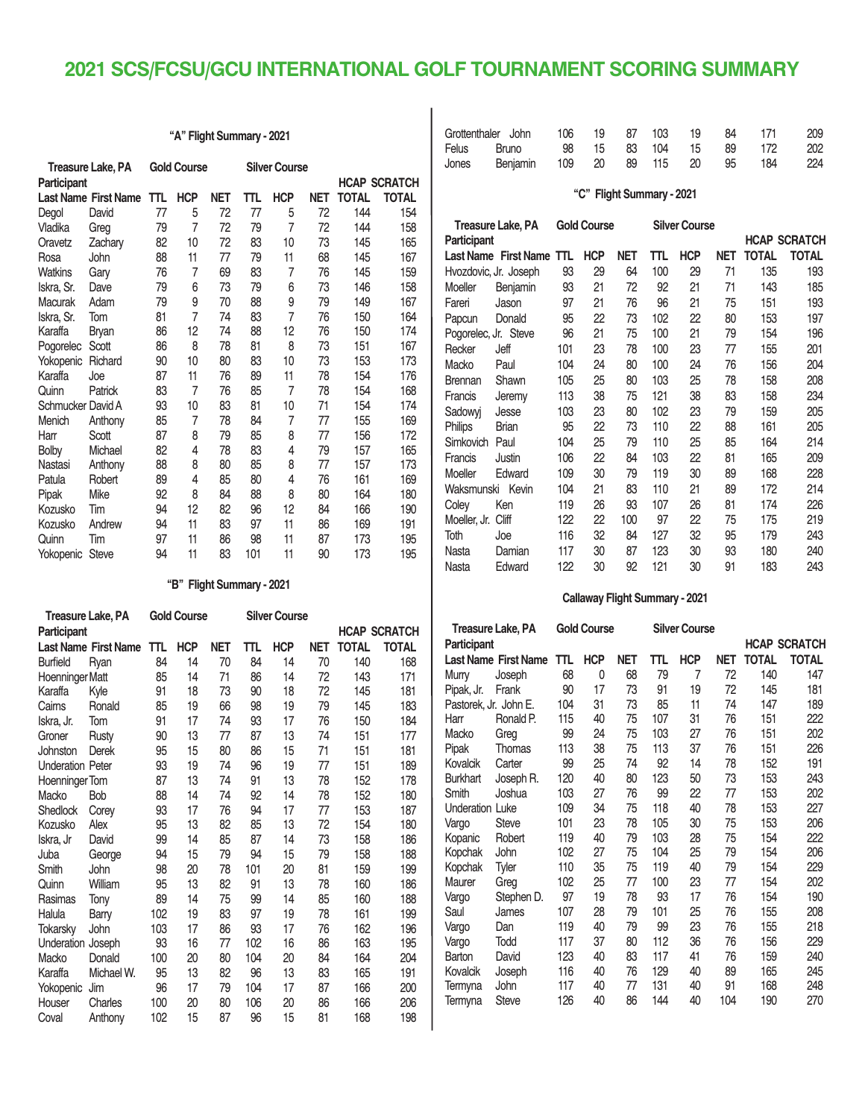## **2021 SCS/FCSU/GCU INTERNATIONAL GOLF TOURNAMENT SCORING SUMMARY**

| "A" Flight Summary - 2021 |                             |    |                    |            |     |                      |            |                     |              |
|---------------------------|-----------------------------|----|--------------------|------------|-----|----------------------|------------|---------------------|--------------|
|                           | <b>Treasure Lake, PA</b>    |    | <b>Gold Course</b> |            |     | <b>Silver Course</b> |            |                     |              |
| Participant               |                             |    |                    |            |     |                      |            | <b>HCAP SCRATCH</b> |              |
|                           | <b>Last Name First Name</b> | πL | <b>HCP</b>         | <b>NET</b> | πL  | <b>HCP</b>           | <b>NET</b> | <b>TOTAL</b>        | <b>TOTAL</b> |
| Degol                     | David                       | 77 | 5                  | 72         | 77  | 5                    | 72         | 144                 | 154          |
| Vladika                   | Greg                        | 79 | $\overline{7}$     | 72         | 79  | $\overline{7}$       | 72         | 144                 | 158          |
| Oravetz                   | Zachary                     | 82 | 10                 | 72         | 83  | 10                   | 73         | 145                 | 165          |
| Rosa                      | John                        | 88 | 11                 | 77         | 79  | 11                   | 68         | 145                 | 167          |
| <b>Watkins</b>            | Gary                        | 76 | 7                  | 69         | 83  | 7                    | 76         | 145                 | 159          |
| Iskra, Sr.                | Dave                        | 79 | 6                  | 73         | 79  | 6                    | 73         | 146                 | 158          |
| Macurak                   | Adam                        | 79 | 9                  | 70         | 88  | 9                    | 79         | 149                 | 167          |
| Iskra, Sr.                | Tom                         | 81 | $\overline{7}$     | 74         | 83  | $\overline{7}$       | 76         | 150                 | 164          |
| Karaffa                   | <b>Bryan</b>                | 86 | 12                 | 74         | 88  | 12                   | 76         | 150                 | 174          |
| Pogorelec                 | Scott                       | 86 | 8                  | 78         | 81  | 8                    | 73         | 151                 | 167          |
| Yokopenic                 | Richard                     | 90 | 10                 | 80         | 83  | 10                   | 73         | 153                 | 173          |
| Karaffa                   | Joe                         | 87 | 11                 | 76         | 89  | 11                   | 78         | 154                 | 176          |
| Quinn                     | Patrick                     | 83 | 7                  | 76         | 85  | $\overline{7}$       | 78         | 154                 | 168          |
| Schmucker David A         |                             | 93 | 10                 | 83         | 81  | 10                   | 71         | 154                 | 174          |
| Menich                    | Anthony                     | 85 | 7                  | 78         | 84  | $\overline{7}$       | 77         | 155                 | 169          |
| Harr                      | Scott                       | 87 | 8                  | 79         | 85  | 8                    | 77         | 156                 | 172          |
| <b>Bolby</b>              | Michael                     | 82 | 4                  | 78         | 83  | 4                    | 79         | 157                 | 165          |
| Nastasi                   | Anthony                     | 88 | 8                  | 80         | 85  | 8                    | 77         | 157                 | 173          |
| Patula                    | Robert                      | 89 | 4                  | 85         | 80  | 4                    | 76         | 161                 | 169          |
| Pipak                     | Mike                        | 92 | 8                  | 84         | 88  | 8                    | 80         | 164                 | 180          |
| Kozusko                   | Tim                         | 94 | 12                 | 82         | 96  | 12                   | 84         | 166                 | 190          |
| Kozusko                   | Andrew                      | 94 | 11                 | 83         | 97  | 11                   | 86         | 169                 | 191          |
| Quinn                     | Tim                         | 97 | 11                 | 86         | 98  | 11                   | 87         | 173                 | 195          |
| Yokopenic                 | <b>Steve</b>                | 94 | 11                 | 83         | 101 | 11                   | 90         | 173                 | 195          |

#### **"B" Flight Summary - 2021**

| Treasure Lake, PA       |                             |     | <b>Gold Course</b> |            |     | <b>Silver Course</b> |            |              |                     |
|-------------------------|-----------------------------|-----|--------------------|------------|-----|----------------------|------------|--------------|---------------------|
| Participant             |                             |     |                    |            |     |                      |            |              | <b>HCAP SCRATCH</b> |
|                         | <b>Last Name First Name</b> | πL  | <b>HCP</b>         | <b>NET</b> | πL  | <b>HCP</b>           | <b>NET</b> | <b>TOTAL</b> | <b>TOTAL</b>        |
| <b>Burfield</b>         | Ryan                        | 84  | 14                 | 70         | 84  | 14                   | 70         | 140          | 168                 |
| Hoenninger Matt         |                             | 85  | 14                 | 71         | 86  | 14                   | 72         | 143          | 171                 |
| Karaffa                 | Kyle                        | 91  | 18                 | 73         | 90  | 18                   | 72         | 145          | 181                 |
| Cairns                  | Ronald                      | 85  | 19                 | 66         | 98  | 19                   | 79         | 145          | 183                 |
| Iskra, Jr.              | Tom                         | 91  | 17                 | 74         | 93  | 17                   | 76         | 150          | 184                 |
| Groner                  | Rusty                       | 90  | 13                 | 77         | 87  | 13                   | 74         | 151          | 177                 |
| Johnston                | <b>Derek</b>                | 95  | 15                 | 80         | 86  | 15                   | 71         | 151          | 181                 |
| <b>Underation Peter</b> |                             | 93  | 19                 | 74         | 96  | 19                   | 77         | 151          | 189                 |
| Hoenninger Tom          |                             | 87  | 13                 | 74         | 91  | 13                   | 78         | 152          | 178                 |
| Macko                   | <b>Bob</b>                  | 88  | 14                 | 74         | 92  | 14                   | 78         | 152          | 180                 |
| Shedlock                | Corey                       | 93  | 17                 | 76         | 94  | 17                   | 77         | 153          | 187                 |
| Kozusko                 | Alex                        | 95  | 13                 | 82         | 85  | 13                   | 72         | 154          | 180                 |
| Iskra, Jr               | David                       | 99  | 14                 | 85         | 87  | 14                   | 73         | 158          | 186                 |
| Juba                    | George                      | 94  | 15                 | 79         | 94  | 15                   | 79         | 158          | 188                 |
| Smith                   | John                        | 98  | 20                 | 78         | 101 | 20                   | 81         | 159          | 199                 |
| Quinn                   | William                     | 95  | 13                 | 82         | 91  | 13                   | 78         | 160          | 186                 |
| Rasimas                 | Tony                        | 89  | 14                 | 75         | 99  | 14                   | 85         | 160          | 188                 |
| Halula                  | <b>Barry</b>                | 102 | 19                 | 83         | 97  | 19                   | 78         | 161          | 199                 |
| <b>Tokarsky</b>         | John                        | 103 | 17                 | 86         | 93  | 17                   | 76         | 162          | 196                 |
| Underation              | Joseph                      | 93  | 16                 | 77         | 102 | 16                   | 86         | 163          | 195                 |
| Macko                   | Donald                      | 100 | 20                 | 80         | 104 | 20                   | 84         | 164          | 204                 |
| Karaffa                 | Michael W.                  | 95  | 13                 | 82         | 96  | 13                   | 83         | 165          | 191                 |
| Yokopenic               | Jim                         | 96  | 17                 | 79         | 104 | 17                   | 87         | 166          | 200                 |
| Houser                  | Charles                     | 100 | 20                 | 80         | 106 | 20                   | 86         | 166          | 206                 |
| Coval                   | Anthony                     | 102 | 15                 | 87         | 96  | 15                   | 81         | 168          | 198                 |

| Grottenthaler John 106 19 87 103 19 84 171 209 |  |  |  |  |
|------------------------------------------------|--|--|--|--|
| Felus Bruno 98 15 83 104 15 89 172 202         |  |  |  |  |
| Jones Benjamin 109 20 89 115 20 95 184 224     |  |  |  |  |

**"C" Flight Summary - 2021**

| <b>Treasure Lake, PA</b> |                          |     | <b>Gold Course</b> |            |     | <b>Silver Course</b> |            |              |                     |
|--------------------------|--------------------------|-----|--------------------|------------|-----|----------------------|------------|--------------|---------------------|
| <b>Participant</b>       |                          |     |                    |            |     |                      |            |              | <b>HCAP SCRATCH</b> |
|                          | Last Name First Name TTL |     | <b>HCP</b>         | <b>NET</b> | πL  | <b>HCP</b>           | <b>NET</b> | <b>TOTAL</b> | <b>TOTAL</b>        |
| Hvozdovic, Jr. Joseph    |                          | 93  | 29                 | 64         | 100 | 29                   | 71         | 135          | 193                 |
| Moeller                  | Benjamin                 | 93  | 21                 | 72         | 92  | 21                   | 71         | 143          | 185                 |
| Fareri                   | Jason                    | 97  | 21                 | 76         | 96  | 21                   | 75         | 151          | 193                 |
| Papcun                   | Donald                   | 95  | 22                 | 73         | 102 | 22                   | 80         | 153          | 197                 |
| Pogorelec, Jr. Steve     |                          | 96  | 21                 | 75         | 100 | 21                   | 79         | 154          | 196                 |
| Recker                   | Jeff                     | 101 | 23                 | 78         | 100 | 23                   | 77         | 155          | 201                 |
| Macko                    | Paul                     | 104 | 24                 | 80         | 100 | 24                   | 76         | 156          | 204                 |
| <b>Brennan</b>           | Shawn                    | 105 | 25                 | 80         | 103 | 25                   | 78         | 158          | 208                 |
| Francis                  | Jeremy                   | 113 | 38                 | 75         | 121 | 38                   | 83         | 158          | 234                 |
| Sadowyj                  | Jesse                    | 103 | 23                 | 80         | 102 | 23                   | 79         | 159          | 205                 |
| <b>Philips</b>           | <b>Brian</b>             | 95  | 22                 | 73         | 110 | 22                   | 88         | 161          | 205                 |
| <b>Simkovich</b>         | Paul                     | 104 | 25                 | 79         | 110 | 25                   | 85         | 164          | 214                 |
| Francis                  | Justin                   | 106 | 22                 | 84         | 103 | 22                   | 81         | 165          | 209                 |
| Moeller                  | Edward                   | 109 | 30                 | 79         | 119 | 30                   | 89         | 168          | 228                 |
| Waksmunski               | Kevin                    | 104 | 21                 | 83         | 110 | 21                   | 89         | 172          | 214                 |
| Coley                    | Ken                      | 119 | 26                 | 93         | 107 | 26                   | 81         | 174          | 226                 |
| Moeller, Jr.             | Cliff                    | 122 | 22                 | 100        | 97  | 22                   | 75         | 175          | 219                 |
| Toth                     | Joe                      | 116 | 32                 | 84         | 127 | 32                   | 95         | 179          | 243                 |
| Nasta                    | Damian                   | 117 | 30                 | 87         | 123 | 30                   | 93         | 180          | 240                 |
| Nasta                    | Edward                   | 122 | 30                 | 92         | 121 | 30                   | 91         | 183          | 243                 |

### **Callaway Flight Summary - 2021**

| <b>Treasure Lake, PA</b> |                             |     | <b>Gold Course</b> |            |     | <b>Silver Course</b> |            |              |                     |
|--------------------------|-----------------------------|-----|--------------------|------------|-----|----------------------|------------|--------------|---------------------|
| <b>Participant</b>       |                             |     |                    |            |     |                      |            |              | <b>HCAP SCRATCH</b> |
|                          | <b>Last Name First Name</b> | TΤL | <b>HCP</b>         | <b>NET</b> | πL  | <b>HCP</b>           | <b>NET</b> | <b>TOTAL</b> | <b>TOTAL</b>        |
| Murry                    | Joseph                      | 68  | 0                  | 68         | 79  | 7                    | 72         | 140          | 147                 |
| Pipak, Jr.               | Frank                       | 90  | 17                 | 73         | 91  | 19                   | 72         | 145          | 181                 |
| Pastorek, Jr. John E.    |                             | 104 | 31                 | 73         | 85  | 11                   | 74         | 147          | 189                 |
| Harr                     | Ronald P.                   | 115 | 40                 | 75         | 107 | 31                   | 76         | 151          | 222                 |
| Macko                    | Greg                        | 99  | 24                 | 75         | 103 | 27                   | 76         | 151          | 202                 |
| Pipak                    | Thomas                      | 113 | 38                 | 75         | 113 | 37                   | 76         | 151          | 226                 |
| Kovalcik                 | Carter                      | 99  | 25                 | 74         | 92  | 14                   | 78         | 152          | 191                 |
| <b>Burkhart</b>          | Joseph R.                   | 120 | 40                 | 80         | 123 | 50                   | 73         | 153          | 243                 |
| Smith                    | Joshua                      | 103 | 27                 | 76         | 99  | 22                   | 77         | 153          | 202                 |
| <b>Underation Luke</b>   |                             | 109 | 34                 | 75         | 118 | 40                   | 78         | 153          | 227                 |
| Vargo                    | <b>Steve</b>                | 101 | 23                 | 78         | 105 | 30                   | 75         | 153          | 206                 |
| Kopanic                  | Robert                      | 119 | 40                 | 79         | 103 | 28                   | 75         | 154          | 222                 |
| Kopchak                  | John                        | 102 | 27                 | 75         | 104 | 25                   | 79         | 154          | 206                 |
| Kopchak                  | Tyler                       | 110 | 35                 | 75         | 119 | 40                   | 79         | 154          | 229                 |
| Maurer                   | Greg                        | 102 | 25                 | 77         | 100 | 23                   | 77         | 154          | 202                 |
| Vargo                    | Stephen D.                  | 97  | 19                 | 78         | 93  | 17                   | 76         | 154          | 190                 |
| Saul                     | James                       | 107 | 28                 | 79         | 101 | 25                   | 76         | 155          | 208                 |
| Vargo                    | Dan                         | 119 | 40                 | 79         | 99  | 23                   | 76         | 155          | 218                 |
| Vargo                    | Todd                        | 117 | 37                 | 80         | 112 | 36                   | 76         | 156          | 229                 |
| Barton                   | David                       | 123 | 40                 | 83         | 117 | 41                   | 76         | 159          | 240                 |
| Kovalcik                 | Joseph                      | 116 | 40                 | 76         | 129 | 40                   | 89         | 165          | 245                 |
| Termyna                  | John                        | 117 | 40                 | 77         | 131 | 40                   | 91         | 168          | 248                 |
| Termyna                  | <b>Steve</b>                | 126 | 40                 | 86         | 144 | 40                   | 104        | 190          | 270                 |